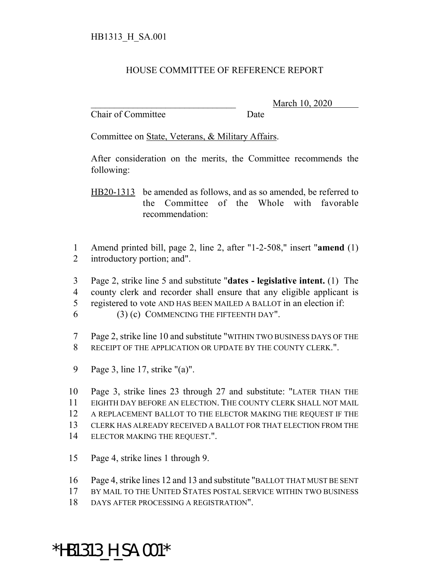## HOUSE COMMITTEE OF REFERENCE REPORT

Chair of Committee Date

\_\_\_\_\_\_\_\_\_\_\_\_\_\_\_\_\_\_\_\_\_\_\_\_\_\_\_\_\_\_\_ March 10, 2020

Committee on State, Veterans, & Military Affairs.

After consideration on the merits, the Committee recommends the following:

HB20-1313 be amended as follows, and as so amended, be referred to the Committee of the Whole with favorable recommendation:

1 Amend printed bill, page 2, line 2, after "1-2-508," insert "**amend** (1) 2 introductory portion; and".

- 3 Page 2, strike line 5 and substitute "**dates legislative intent.** (1) The 4 county clerk and recorder shall ensure that any eligible applicant is
- 5 registered to vote AND HAS BEEN MAILED A BALLOT in an election if:
- $6$  (3) (c) COMMENCING THE FIFTEENTH DAY".
- 7 Page 2, strike line 10 and substitute "WITHIN TWO BUSINESS DAYS OF THE 8 RECEIPT OF THE APPLICATION OR UPDATE BY THE COUNTY CLERK.".
- 9 Page 3, line 17, strike "(a)".
- 10 Page 3, strike lines 23 through 27 and substitute: "LATER THAN THE 11 EIGHTH DAY BEFORE AN ELECTION. THE COUNTY CLERK SHALL NOT MAIL 12 A REPLACEMENT BALLOT TO THE ELECTOR MAKING THE REQUEST IF THE 13 CLERK HAS ALREADY RECEIVED A BALLOT FOR THAT ELECTION FROM THE 14 ELECTOR MAKING THE REQUEST.".
- 15 Page 4, strike lines 1 through 9.
- 16 Page 4, strike lines 12 and 13 and substitute "BALLOT THAT MUST BE SENT
- 17 BY MAIL TO THE UNITED STATES POSTAL SERVICE WITHIN TWO BUSINESS
- 18 DAYS AFTER PROCESSING A REGISTRATION".

## \*HB1313\_H\_SA.001\*